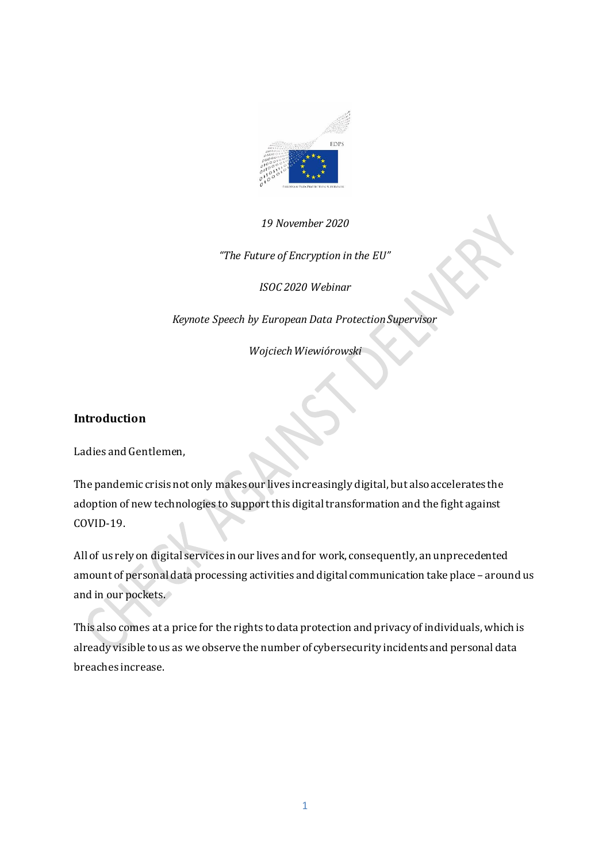

#### *19 November 2020*

*"The Future of Encryption in the EU"*

*ISOC 2020 Webinar*

*Keynote Speech by European Data Protection Supervisor*

*Wojciech Wiewiórowski*

#### **Introduction**

Ladies and Gentlemen,

The pandemic crisis not only makes our lives increasingly digital, but also accelerates the adoption of new technologies to support this digital transformation and the fight against COVID-19.

All of us rely on digital services in our lives and for work, consequently, an unprecedented amount of personal data processing activities and digital communication take place – around us and in our pockets.

This also comes at a price for the rights to data protection and privacy of individuals, which is already visible to us as we observe the number of cybersecurity incidents and personal data breaches increase.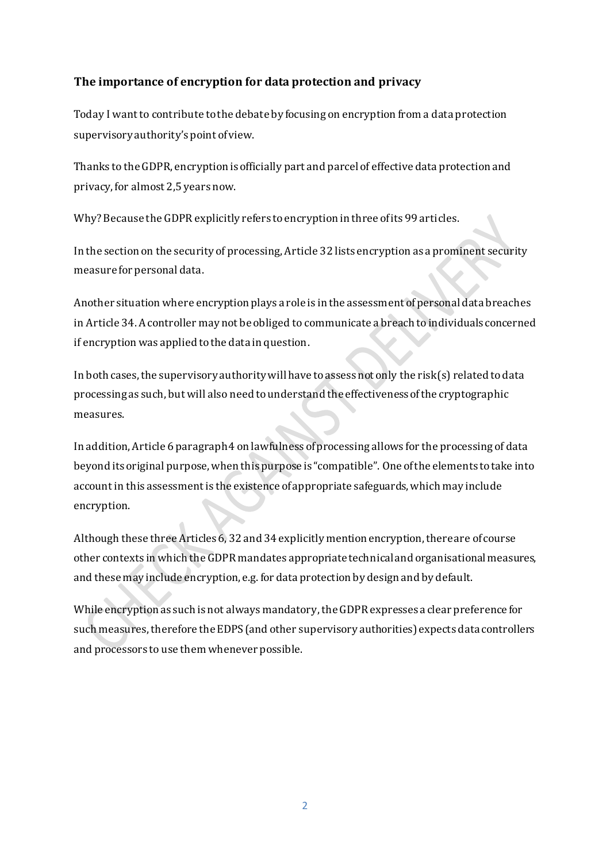## **The importance of encryption for data protection and privacy**

Today I want to contribute to the debate by focusing on encryption from a data protection supervisory authority's point of view.

Thanks to the GDPR, encryption is officially part and parcel of effective data protection and privacy, for almost 2,5 years now.

Why? Because the GDPR explicitly refers to encryption in three of its 99 articles.

In the section on the security of processing, Article 32 lists encryption as a prominent security measure for personal data.

Another situation where encryption plays a role is in the assessment of personal data breaches in Article 34. A controller may not be obliged to communicate a breach to individuals concerned if encryption was applied to the data in question.

In both cases, the supervisory authority will have to assess not only the risk(s) related to data processing as such, but will also need to understand the effectiveness ofthe cryptographic measures.

In addition, Article 6 paragraph 4 on lawfulness of processing allows for the processing of data beyond its original purpose, when this purpose is "compatible". One of the elements to take into account in this assessment is the existence of appropriate safeguards, which may include encryption.

Although these three Articles 6, 32 and 34 explicitly mention encryption, there are of course other contexts in which the GDPR mandates appropriate technical and organisational measures, and these may include encryption, e.g. for data protection by design and by default.

While encryption as such is not always mandatory, the GDPR expresses a clear preference for such measures, therefore the EDPS (and other supervisory authorities) expects data controllers and processors to use them whenever possible.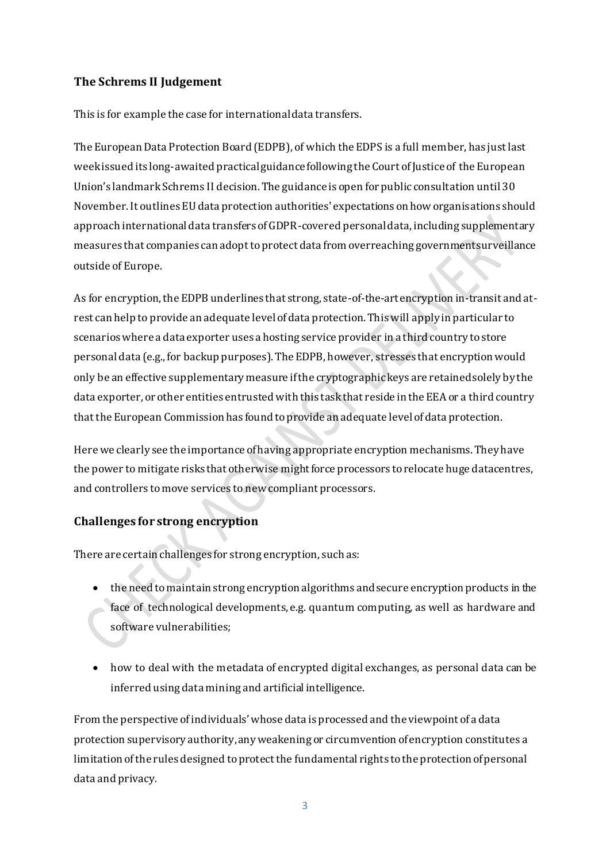# **The Schrems II Judgement**

This is for example the case for international data transfers.

The European Data Protection Board (EDPB), of which the EDPS is a full member, has just last week issued its long-awaited practical guidance following the Court of Justice of the European Union's landmark Schrems II decision. The guidance is open for public consultation until 30 November. It outlines EUdata protection authorities' expectations on how organisations should approach international data transfers of GDPR-covered personal data, including supplementary measures that companies can adopt to protect data from overreaching government surveillance outside of Europe.

As for encryption, the EDPB underlines that strong, state-of-the-art encryption in-transit and atrest can help to provide an adequate level of data protection. This will apply in particular to scenarios where a data exporter uses a hosting service provider in a third country to store personal data (e.g., for backup purposes). The EDPB, however, stresses that encryption would only be an effective supplementary measure if the cryptographic keys are retained solely by the data exporter, or other entities entrusted with this task that reside in the EEA or a third country that the European Commission has found to provide an adequate level of data protection.

Here we clearly see the importance of having appropriate encryption mechanisms. They have the power to mitigate risks that otherwise might force processors to relocate huge datacentres, and controllers to move services to new compliant processors.

# **Challenges for strong encryption**

There are certain challenges for strong encryption, such as:

- the need to maintain strong encryption algorithms and secure encryption products in the face of technological developments, e.g. quantum computing, as well as hardware and software vulnerabilities;
- how to deal with the metadata of encrypted digital exchanges, as personal data can be inferred using data mining and artificial intelligence.

From the perspective of individuals' whose data is processed and the viewpoint of a data protection supervisory authority, any weakening or circumvention of encryption constitutes a limitation ofthe rules designed to protect the fundamental rights to the protection of personal data and privacy.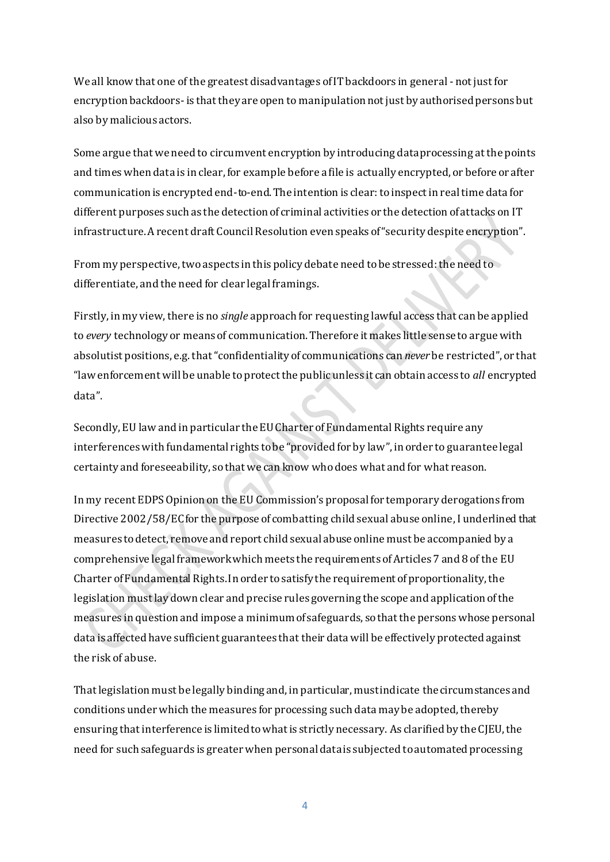We all know that one of the greatest disadvantages of IT backdoors in general - not just for encryption backdoors- is that they are open to manipulation not just by authorised persons but also by malicious actors.

Some argue that we need to circumvent encryption by introducing data processing at the points and times when data is in clear, for example before a file is actually encrypted, or before or after communication is encrypted end-to-end. The intention is clear: to inspect in real time data for different purposes such as the detection of criminal activities or the detection of attacks on IT infrastructure. A recent draft Council Resolution even speaks of "security despite encryption".

From my perspective, two aspects in this policy debate need to be stressed: the need to differentiate, and the need for clear legal framings.

Firstly, in my view, there is no *single* approach for requesting lawful access that can be applied to *every* technology or means of communication. Therefore it makes little sense to argue with absolutist positions, e.g. that "confidentiality of communications can *never* be restricted", or that "law enforcement will be unable to protect the public unless it can obtain access to *all* encrypted data".

Secondly, EU law and in particular the EU Charter of Fundamental Rights require any interferences with fundamental rights to be "provided for by law", in order to guarantee legal certainty and foreseeability, so that we can know who does what and for what reason.

In my recent EDPS Opinion on the EU Commission's proposal for temporary derogations from Directive 2002/58/EC for the purpose of combatting child sexual abuse online, I underlined that measures to detect, remove and report child sexual abuse online must be accompanied by a comprehensive legal framework which meets the requirements of Articles 7 and 8 of the EU Charter of Fundamental Rights. In order to satisfy the requirement of proportionality, the legislation must lay down clear and precise rules governing the scope and application of the measures in question and impose a minimum of safeguards, so that the persons whose personal data is affected have sufficient guarantees that their data will be effectively protected against the risk of abuse.

That legislation must be legally binding and, in particular, must indicate the circumstances and conditions under which the measures for processing such data may be adopted, thereby ensuring that interference is limited to what is strictly necessary. As clarified by the CJEU, the need for such safeguards is greater when personal data is subjected to automated processing

4